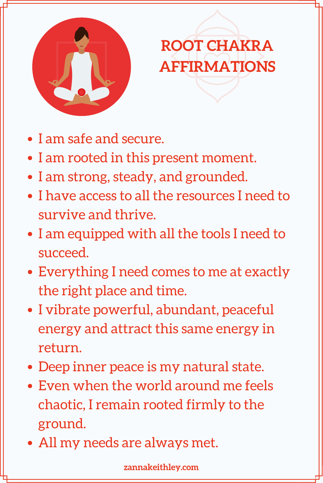

#### **ROOT CHAKRA AFFIRMATIONS**

- I am safe and secure.
- I am rooted in this present moment.
- I am strong, steady, and grounded.
- I have access to all the resources I need to survive and thrive.
- I am equipped with all the tools I need to succeed.
- Everything I need comes to me at exactly the right place and time.
- I vibrate powerful, abundant, peaceful energy and attract this same energy in return.
- Deep inner peace is my natural state.
- Even when the world around me feels chaotic, I remain rooted firmly to the ground.
- All my needs are always met.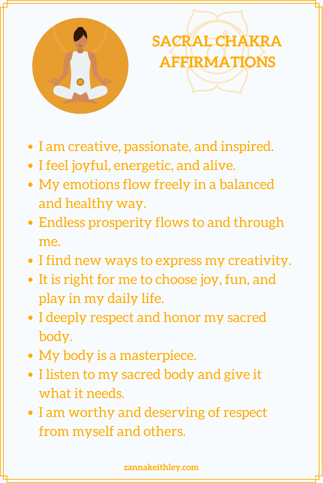

# **SACRAL CHAKRA AFFIRMATIONS**

- I am creative, passionate, and inspired.
- I feel joyful, energetic, and alive.
- My emotions flow freely in a balanced and healthy way.
- Endless prosperity flows to and through me.
- I find new ways to express my creativity.
- It is right for me to choose joy, fun, and play in my daily life.
- I deeply respect and honor my sacred body.
- My body is a masterpiece.
- I listen to my sacred body and give it what it needs.
- I am worthy and deserving of respect from myself and others.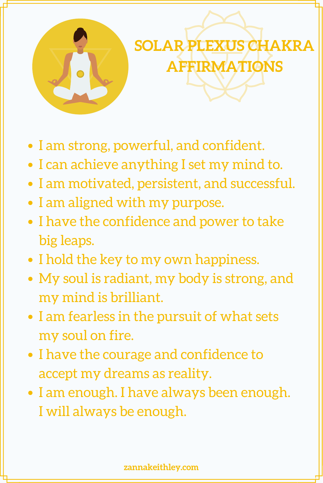

## **SOLAR PLEXUS CHAKRA AFFIRMATIONS**

- I am strong, powerful, and confident.
- I can achieve anything I set my mind to.
- I am motivated, persistent, and successful.
- I am aligned with my purpose.
- I have the confidence and power to take big leaps.
- I hold the key to my own happiness.
- My soul is radiant, my body is strong, and my mind is brilliant.
- I am fearless in the pursuit of what sets my soul on fire.
- I have the courage and confidence to accept my dreams as reality.
- I am enough. I have always been enough. I will always be enough.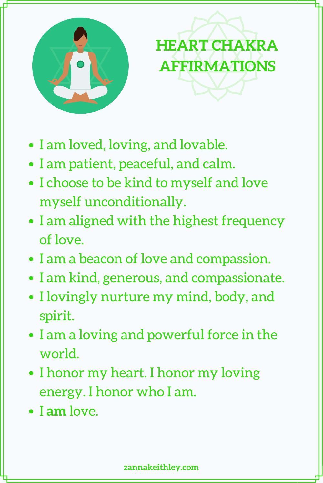

## **HEART CHAKRA AFFIRMATIONS**

- I am loved, loving, and lovable.
- I am patient, peaceful, and calm.
- I choose to be kind to myself and love myself unconditionally.
- I am aligned with the highest frequency of love.
- I am a beacon of love and compassion.
- I am kind, generous, and compassionate.
- I lovingly nurture my mind, body, and spirit.
- I am a loving and powerful force in the world.
- I honor my heart. I honor my loving energy. I honor who I am.
- I **am** love.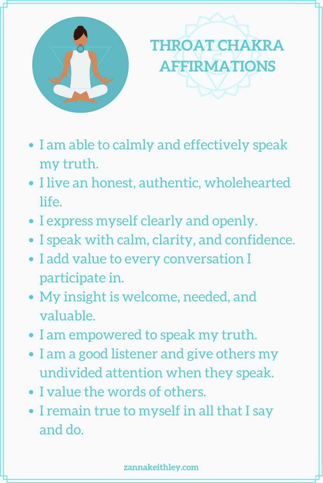

## **THROAT CHAKRA AFFIRMATIONS**

- I am able to calmly and effectively speak my truth.
- I live an honest, authentic, wholehearted life.
- I express myself clearly and openly.
- I speak with calm, clarity, and confidence.
- I add value to every conversation I participate in.
- My insight is welcome, needed, and valuable.
- I am empowered to speak my truth.
- I am a good listener and give others my undivided attention when they speak.
- I value the words of others.
- I remain true to myself in all that I say and do.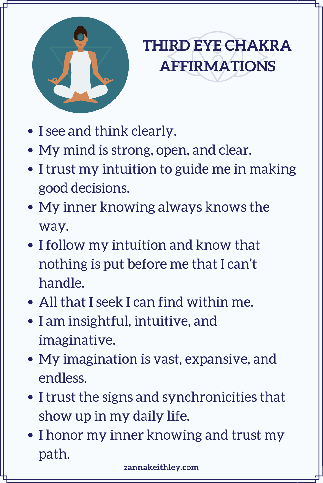

#### **THIRD EYE CHAKRA AFFIRMATIONS**

- I see and think clearly.
- My mind is strong, open, and clear.
- I trust my intuition to guide me in making good decisions.
- My inner knowing always knows the way.
- I follow my intuition and know that nothing is put before me that I can't handle.
- All that I seek I can find within me.
- I am insightful, intuitive, and imaginative.
- My imagination is vast, expansive, and endless.
- I trust the signs and synchronicities that show up in my daily life.
- I honor my inner knowing and trust my path.